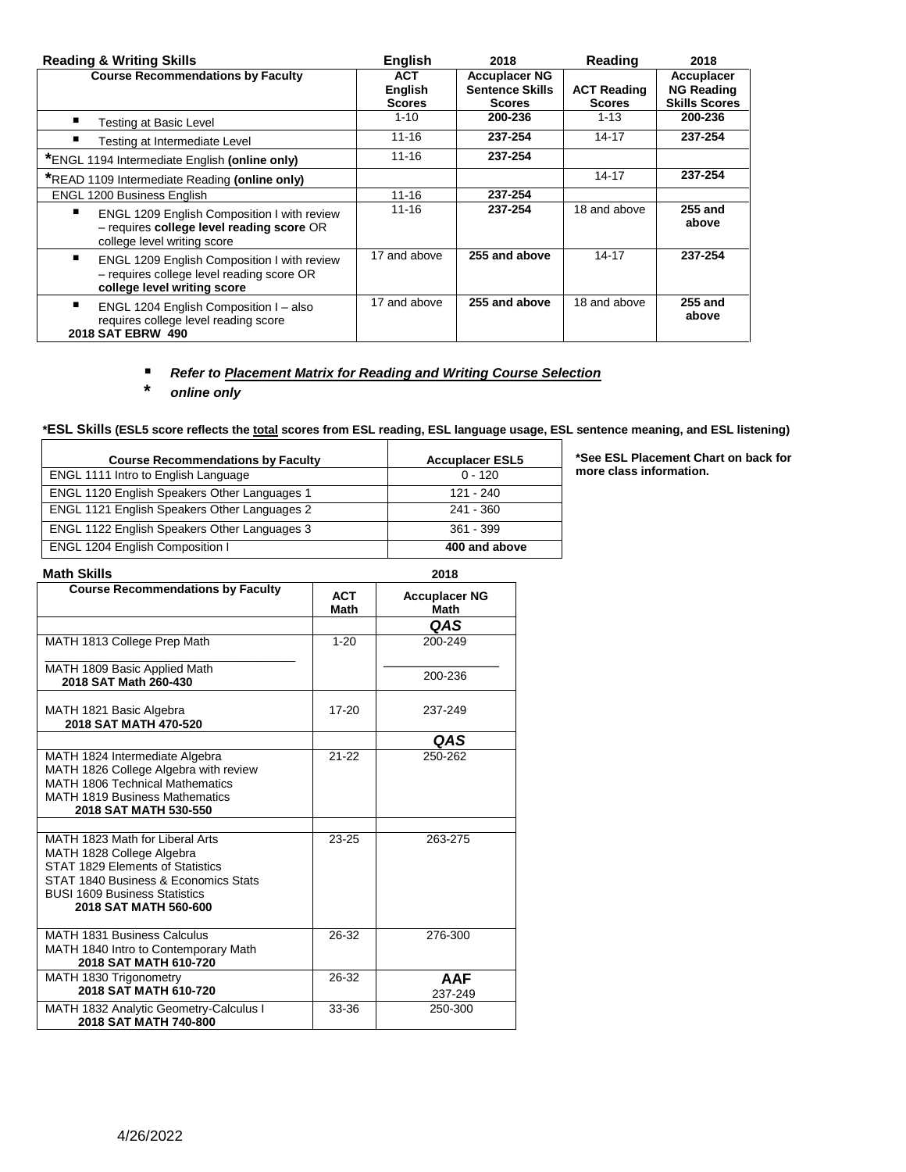| <b>Reading &amp; Writing Skills</b>                                                                                     | <b>English</b>                          | 2018                                                            | Reading                             | 2018                                                    |
|-------------------------------------------------------------------------------------------------------------------------|-----------------------------------------|-----------------------------------------------------------------|-------------------------------------|---------------------------------------------------------|
| <b>Course Recommendations by Faculty</b>                                                                                | ACT.<br><b>English</b><br><b>Scores</b> | <b>Accuplacer NG</b><br><b>Sentence Skills</b><br><b>Scores</b> | <b>ACT Reading</b><br><b>Scores</b> | Accuplacer<br><b>NG Reading</b><br><b>Skills Scores</b> |
| Testing at Basic Level                                                                                                  | $1 - 10$                                | 200-236                                                         | $1 - 13$                            | 200-236                                                 |
| п<br>Testing at Intermediate Level                                                                                      | $11 - 16$                               | 237-254                                                         | $14 - 17$                           | 237-254                                                 |
| *ENGL 1194 Intermediate English (online only)                                                                           | $11 - 16$                               | 237-254                                                         |                                     |                                                         |
| *READ 1109 Intermediate Reading (online only)                                                                           |                                         |                                                                 | $14 - 17$                           | 237-254                                                 |
| <b>ENGL 1200 Business English</b>                                                                                       | $11 - 16$                               | 237-254                                                         |                                     |                                                         |
| ENGL 1209 English Composition I with review<br>- requires college level reading score OR<br>college level writing score | $11 - 16$                               | 237-254                                                         | 18 and above                        | 255 and<br>above                                        |
| ENGL 1209 English Composition I with review<br>- requires college level reading score OR<br>college level writing score | 17 and above                            | 255 and above                                                   | $14 - 17$                           | 237-254                                                 |
| ENGL 1204 English Composition I - also<br>requires college level reading score<br>2018 SAT EBRW 490                     | 17 and above                            | 255 and above                                                   | 18 and above                        | <b>255 and</b><br>above                                 |

## *Refer to Placement Matrix for Reading and Writing Course Selection*

**\*** *online only*

**\*ESL Skills (ESL5 score reflects the total scores from ESL reading, ESL language usage, ESL sentence meaning, and ESL listening)**

| <b>Course Recommendations by Faculty</b>            | <b>Accuplacer ESL5</b> |
|-----------------------------------------------------|------------------------|
| ENGL 1111 Intro to English Language                 | $0 - 120$              |
| <b>ENGL 1120 English Speakers Other Languages 1</b> | 121 - 240              |
| <b>ENGL 1121 English Speakers Other Languages 2</b> | 241 - 360              |
| ENGL 1122 English Speakers Other Languages 3        | $361 - 399$            |
| ENGL 1204 English Composition I                     | 400 and above          |

**\*See ESL Placement Chart on back for more class information.** 

| <b>Math Skills</b>                                                                                                                                                                                        |                           | 2018                                |
|-----------------------------------------------------------------------------------------------------------------------------------------------------------------------------------------------------------|---------------------------|-------------------------------------|
| <b>Course Recommendations by Faculty</b>                                                                                                                                                                  | <b>ACT</b><br><b>Math</b> | <b>Accuplacer NG</b><br><b>Math</b> |
|                                                                                                                                                                                                           |                           | <b>QAS</b>                          |
| MATH 1813 College Prep Math                                                                                                                                                                               | $1 - 20$                  | 200-249                             |
| MATH 1809 Basic Applied Math<br>2018 SAT Math 260-430                                                                                                                                                     |                           | 200-236                             |
| MATH 1821 Basic Algebra<br>2018 SAT MATH 470-520                                                                                                                                                          | $17 - 20$                 | 237-249                             |
|                                                                                                                                                                                                           |                           | QAS                                 |
| MATH 1824 Intermediate Algebra<br>MATH 1826 College Algebra with review<br><b>MATH 1806 Technical Mathematics</b><br><b>MATH 1819 Business Mathematics</b><br>2018 SAT MATH 530-550                       | $21 - 22$                 | 250-262                             |
|                                                                                                                                                                                                           |                           |                                     |
| MATH 1823 Math for Liberal Arts<br>MATH 1828 College Algebra<br>STAT 1829 Elements of Statistics<br>STAT 1840 Business & Economics Stats<br><b>BUSI 1609 Business Statistics</b><br>2018 SAT MATH 560-600 | $23 - 25$                 | 263-275                             |
| <b>MATH 1831 Business Calculus</b><br>MATH 1840 Intro to Contemporary Math<br>2018 SAT MATH 610-720                                                                                                       | 26-32                     | 276-300                             |
| MATH 1830 Trigonometry<br>2018 SAT MATH 610-720                                                                                                                                                           | 26-32                     | <b>AAF</b><br>237-249               |
| MATH 1832 Analytic Geometry-Calculus I<br>2018 SAT MATH 740-800                                                                                                                                           | 33-36                     | 250-300                             |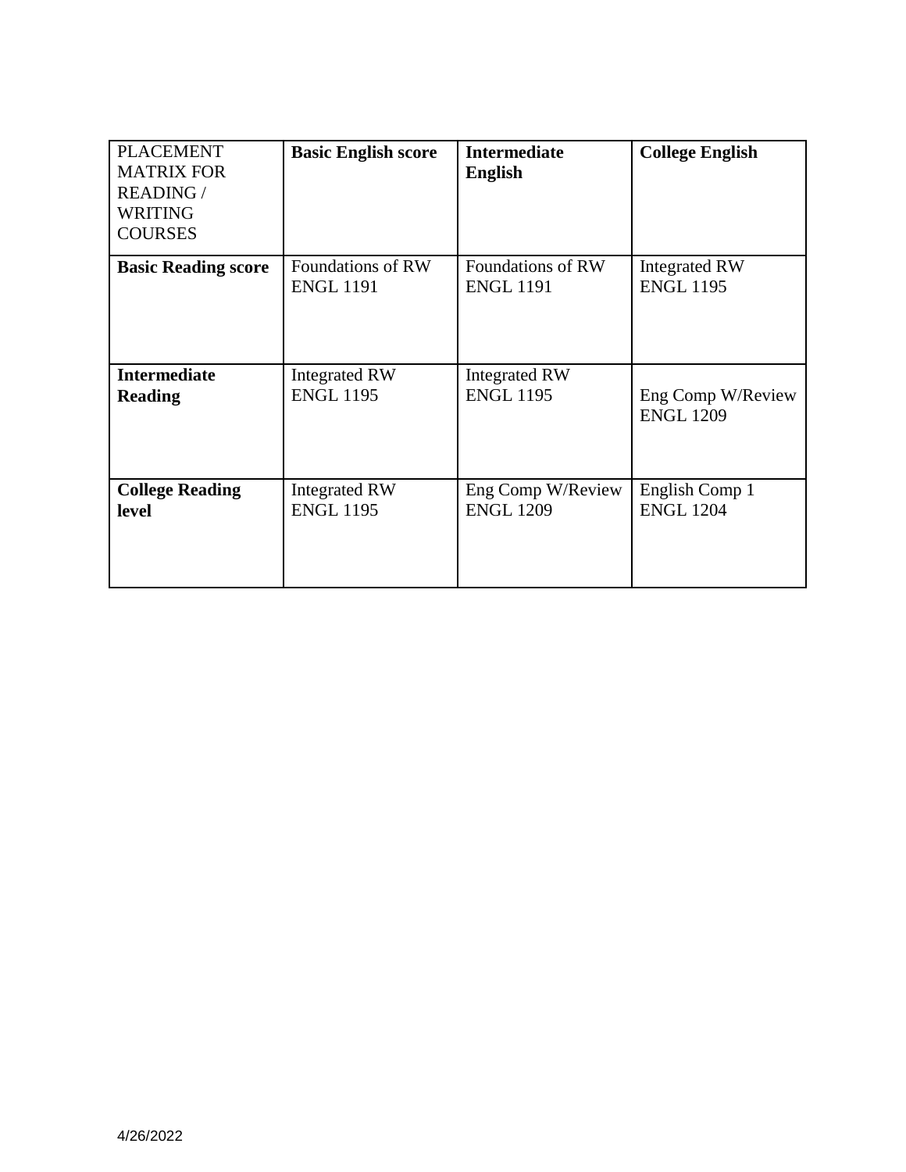| <b>PLACEMENT</b><br><b>MATRIX FOR</b><br><b>READING /</b><br><b>WRITING</b><br><b>COURSES</b> | <b>Basic English score</b> | <b>Intermediate</b><br><b>English</b> | <b>College English</b> |
|-----------------------------------------------------------------------------------------------|----------------------------|---------------------------------------|------------------------|
| <b>Basic Reading score</b>                                                                    | Foundations of RW          | Foundations of RW                     | <b>Integrated RW</b>   |
|                                                                                               | <b>ENGL 1191</b>           | <b>ENGL 1191</b>                      | <b>ENGL 1195</b>       |
| <b>Intermediate</b>                                                                           | Integrated RW              | <b>Integrated RW</b>                  | Eng Comp W/Review      |
| <b>Reading</b>                                                                                | <b>ENGL 1195</b>           | <b>ENGL 1195</b>                      | <b>ENGL 1209</b>       |
| <b>College Reading</b>                                                                        | <b>Integrated RW</b>       | Eng Comp W/Review                     | English Comp 1         |
| <b>level</b>                                                                                  | <b>ENGL 1195</b>           | <b>ENGL 1209</b>                      | <b>ENGL 1204</b>       |